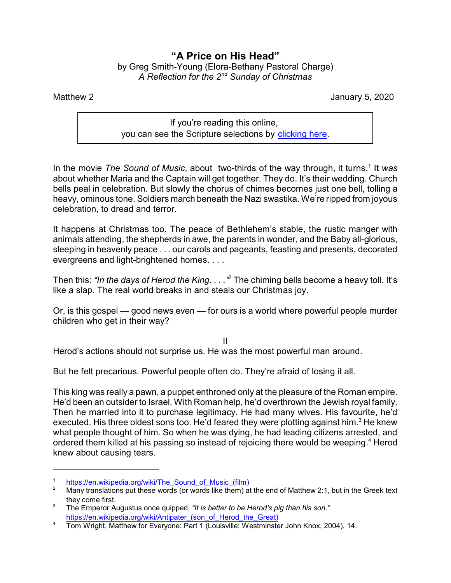## **"A Price on His Head"** by Greg Smith-Young (Elora-Bethany Pastoral Charge) *A Reflection for the 2nd Sunday of Christmas*

Matthew 2 January 5, 2020

If you're reading this online, you can see the Scripture selections by [clicking here](https://www.biblegateway.com/passage/?search=Matthew+2&version=CEB).

In the movie The Sound of Music, about two-thirds of the way through, it turns.<sup>1</sup> It was about whether Maria and the Captain will get together. They do. It's their wedding. Church bells peal in celebration. But slowly the chorus of chimes becomes just one bell, tolling a heavy, ominous tone. Soldiers march beneath the Nazi swastika. We're ripped from joyous celebration, to dread and terror.

It happens at Christmas too. The peace of Bethlehem's stable, the rustic manger with animals attending, the shepherds in awe, the parents in wonder, and the Baby all-glorious, sleeping in heavenly peace . . . our carols and pageants, feasting and presents, decorated evergreens and light-brightened homes. . . .

Then this: *"In the days of Herod the King. . . ."*<sup>2</sup> The chiming bells become a heavy toll. It's like a slap. The real world breaks in and steals our Christmas joy.

Or, is this gospel — good news even — for ours is a world where powerful people murder children who get in their way?

II

Herod's actions should not surprise us. He was the most powerful man around.

But he felt precarious. Powerful people often do. They're afraid of losing it all.

This king was really a pawn, a puppet enthroned only at the pleasure of the Roman empire. He'd been an outsider to Israel. With Roman help, he'd overthrown the Jewish royal family. Then he married into it to purchase legitimacy. He had many wives. His favourite, he'd executed. His three oldest sons too. He'd feared they were plotting against him.<sup>3</sup> He knew what people thought of him. So when he was dying, he had leading citizens arrested, and ordered them killed at his passing so instead of rejoicing there would be weeping.<sup>4</sup> Herod knew about causing tears.

<sup>1</sup> [https://en.wikipedia.org/wiki/The\\_Sound\\_of\\_Music\\_\(film\)](https://en.wikipedia.org/wiki/The_Sound_of_Music_(film))

<sup>&</sup>lt;sup>2</sup> Many translations put these words (or words like them) at the end of Matthew 2:1, but in the Greek text they come first.

<sup>3</sup> The Emperor Augustus once quipped, *"It is better to be Herod's pig than his son."* [https://en.wikipedia.org/wiki/Antipater\\_\(son\\_of\\_Herod\\_the\\_Great\)](https://en.wikipedia.org/wiki/Antipater_(son_of_Herod_the_Great))

<sup>&</sup>lt;sup>4</sup> Tom Wright, Matthew for Everyone: Part 1 (Louisville: Westminster John Knox, 2004), 14.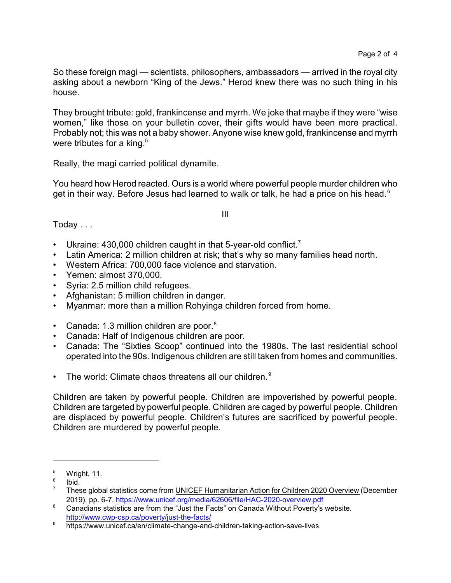So these foreign magi — scientists, philosophers, ambassadors — arrived in the royal city asking about a newborn "King of the Jews." Herod knew there was no such thing in his house.

They brought tribute: gold, frankincense and myrrh. We joke that maybe if they were "wise women," like those on your bulletin cover, their gifts would have been more practical. Probably not; this was not a baby shower. Anyone wise knew gold, frankincense and myrrh were tributes for a king. $^{\rm 5}$ 

Really, the magi carried political dynamite.

You heard how Herod reacted. Ours is a world where powerful people murder children who get in their way. Before Jesus had learned to walk or talk, he had a price on his head. $6$ 

III

Today . . .

- Ukraine: 430,000 children caught in that 5-year-old conflict.<sup>7</sup>
- Latin America: 2 million children at risk; that's why so many families head north.
- Western Africa: 700,000 face violence and starvation.
- Yemen: almost 370,000.
- Syria: 2.5 million child refugees.
- Afghanistan: 5 million children in danger.
- Myanmar: more than a million Rohyinga children forced from home.
- Canada: 1.3 million children are poor. $8$
- Canada: Half of Indigenous children are poor.
- Canada: The "Sixties Scoop" continued into the 1980s. The last residential school operated into the 90s. Indigenous children are still taken from homes and communities.
- The world: Climate chaos threatens all our children.<sup>9</sup>

Children are taken by powerful people. Children are impoverished by powerful people. Children are targeted by powerful people. Children are caged by powerful people. Children are displaced by powerful people. Children's futures are sacrificed by powerful people. Children are murdered by powerful people.

<sup>5</sup> Wright, 11.

<sup>6</sup> Ibid.

 $7$  These global statistics come from UNICEF Humanitarian Action for Children 2020 Overview (December 2019), pp. 6-7.<https://www.unicef.org/media/62606/file/HAC-2020-overview.pdf>

<sup>&</sup>lt;sup>8</sup> Canadians statistics are from the "Just the Facts" on Canada Without Poverty's website. <http://www.cwp-csp.ca/poverty/just-the-facts/>

<sup>9</sup> https://www.unicef.ca/en/climate-change-and-children-taking-action-save-lives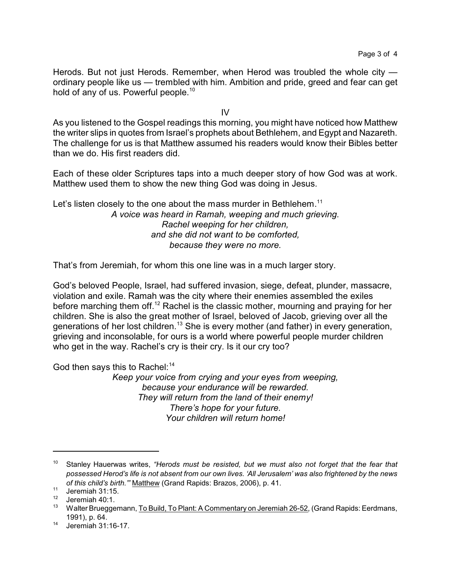Herods. But not just Herods. Remember, when Herod was troubled the whole city ordinary people like us — trembled with him. Ambition and pride, greed and fear can get hold of any of us. Powerful people.<sup>10</sup>

IV

As you listened to the Gospel readings this morning, you might have noticed how Matthew the writer slips in quotes from Israel's prophets about Bethlehem, and Egypt and Nazareth. The challenge for us is that Matthew assumed his readers would know their Bibles better than we do. His first readers did.

Each of these older Scriptures taps into a much deeper story of how God was at work. Matthew used them to show the new thing God was doing in Jesus.

Let's listen closely to the one about the mass murder in Bethlehem.<sup>11</sup> *A voice was heard in Ramah, weeping and much grieving. Rachel weeping for her children, and she did not want to be comforted, because they were no more.*

That's from Jeremiah, for whom this one line was in a much larger story.

God's beloved People, Israel, had suffered invasion, siege, defeat, plunder, massacre, violation and exile. Ramah was the city where their enemies assembled the exiles before marching them off.<sup>12</sup> Rachel is the classic mother, mourning and praying for her children. She is also the great mother of Israel, beloved of Jacob, grieving over all the generations of her lost children.<sup>13</sup> She is every mother (and father) in every generation, grieving and inconsolable, for ours is a world where powerful people murder children who get in the way. Rachel's cry is their cry. Is it our cry too?

God then says this to Rachel: $14$ 

*Keep your voice from crying and your eyes from weeping, because your endurance will be rewarded. They will return from the land of their enemy! There's hope for your future. Your children will return home!*

<sup>10</sup> Stanley Hauerwas writes, *"Herods must be resisted, but we must also not forget that the fear that possessed Herod's life is not absent from our own lives. 'All Jerusalem' was also frightened by the news of this child's birth.'"* Matthew (Grand Rapids: Brazos, 2006), p. 41.

 $11$  Jeremiah 31:15.

Jeremiah 40:1.

<sup>&</sup>lt;sup>13</sup> Walter Brueggemann, To Build, To Plant: A Commentary on Jeremiah 26-52, (Grand Rapids: Eerdmans, 1991), p. 64.

<sup>14</sup> Jeremiah 31:16-17.